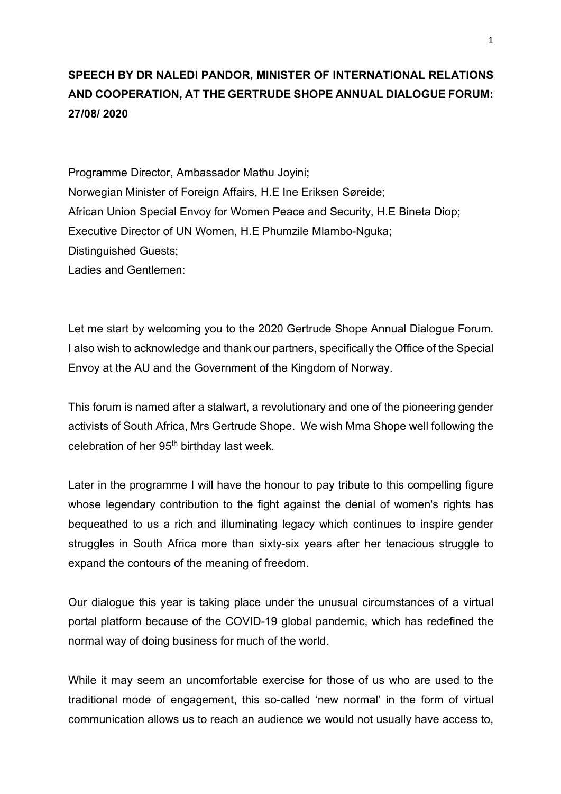## **SPEECH BY DR NALEDI PANDOR, MINISTER OF INTERNATIONAL RELATIONS AND COOPERATION, AT THE GERTRUDE SHOPE ANNUAL DIALOGUE FORUM: 27/08/ 2020**

Programme Director, Ambassador Mathu Joyini; Norwegian Minister of Foreign Affairs, H.E Ine Eriksen Søreide; African Union Special Envoy for Women Peace and Security, H.E Bineta Diop; Executive Director of UN Women, H.E Phumzile Mlambo-Nguka; Distinguished Guests;

Ladies and Gentlemen:

Let me start by welcoming you to the 2020 Gertrude Shope Annual Dialogue Forum. I also wish to acknowledge and thank our partners, specifically the Office of the Special Envoy at the AU and the Government of the Kingdom of Norway.

This forum is named after a stalwart, a revolutionary and one of the pioneering gender activists of South Africa, Mrs Gertrude Shope. We wish Mma Shope well following the celebration of her 95th birthday last week.

Later in the programme I will have the honour to pay tribute to this compelling figure whose legendary contribution to the fight against the denial of women's rights has bequeathed to us a rich and illuminating legacy which continues to inspire gender struggles in South Africa more than sixty-six years after her tenacious struggle to expand the contours of the meaning of freedom.

Our dialogue this year is taking place under the unusual circumstances of a virtual portal platform because of the COVID-19 global pandemic, which has redefined the normal way of doing business for much of the world.

While it may seem an uncomfortable exercise for those of us who are used to the traditional mode of engagement, this so-called 'new normal' in the form of virtual communication allows us to reach an audience we would not usually have access to,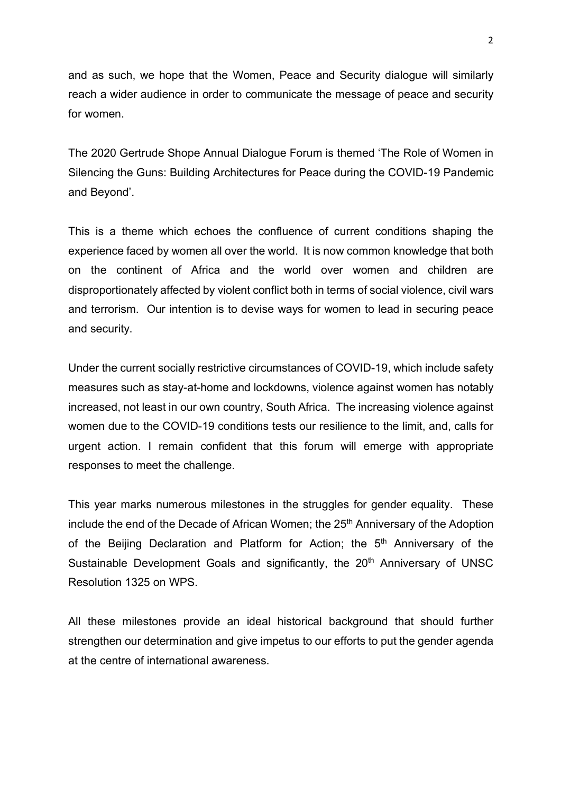and as such, we hope that the Women, Peace and Security dialogue will similarly reach a wider audience in order to communicate the message of peace and security for women.

The 2020 Gertrude Shope Annual Dialogue Forum is themed 'The Role of Women in Silencing the Guns: Building Architectures for Peace during the COVID-19 Pandemic and Beyond'.

This is a theme which echoes the confluence of current conditions shaping the experience faced by women all over the world. It is now common knowledge that both on the continent of Africa and the world over women and children are disproportionately affected by violent conflict both in terms of social violence, civil wars and terrorism. Our intention is to devise ways for women to lead in securing peace and security.

Under the current socially restrictive circumstances of COVID-19, which include safety measures such as stay-at-home and lockdowns, violence against women has notably increased, not least in our own country, South Africa. The increasing violence against women due to the COVID-19 conditions tests our resilience to the limit, and, calls for urgent action. I remain confident that this forum will emerge with appropriate responses to meet the challenge.

This year marks numerous milestones in the struggles for gender equality. These include the end of the Decade of African Women; the 25<sup>th</sup> Anniversary of the Adoption of the Beijing Declaration and Platform for Action; the 5<sup>th</sup> Anniversary of the Sustainable Development Goals and significantly, the 20<sup>th</sup> Anniversary of UNSC Resolution 1325 on WPS.

All these milestones provide an ideal historical background that should further strengthen our determination and give impetus to our efforts to put the gender agenda at the centre of international awareness.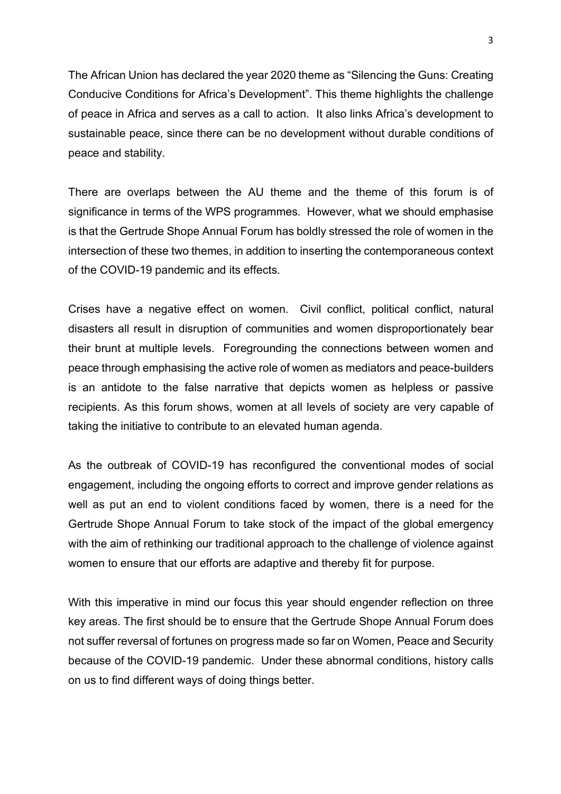The African Union has declared the year 2020 theme as "Silencing the Guns: Creating Conducive Conditions for Africa's Development". This theme highlights the challenge of peace in Africa and serves as a call to action. It also links Africa's development to sustainable peace, since there can be no development without durable conditions of peace and stability.

There are overlaps between the AU theme and the theme of this forum is of significance in terms of the WPS programmes. However, what we should emphasise is that the Gertrude Shope Annual Forum has boldly stressed the role of women in the intersection of these two themes, in addition to inserting the contemporaneous context of the COVID-19 pandemic and its effects.

Crises have a negative effect on women. Civil conflict, political conflict, natural disasters all result in disruption of communities and women disproportionately bear their brunt at multiple levels. Foregrounding the connections between women and peace through emphasising the active role of women as mediators and peace-builders is an antidote to the false narrative that depicts women as helpless or passive recipients. As this forum shows, women at all levels of society are very capable of taking the initiative to contribute to an elevated human agenda.

As the outbreak of COVID-19 has reconfigured the conventional modes of social engagement, including the ongoing efforts to correct and improve gender relations as well as put an end to violent conditions faced by women, there is a need for the Gertrude Shope Annual Forum to take stock of the impact of the global emergency with the aim of rethinking our traditional approach to the challenge of violence against women to ensure that our efforts are adaptive and thereby fit for purpose.

With this imperative in mind our focus this year should engender reflection on three key areas. The first should be to ensure that the Gertrude Shope Annual Forum does not suffer reversal of fortunes on progress made so far on Women, Peace and Security because of the COVID-19 pandemic. Under these abnormal conditions, history calls on us to find different ways of doing things better.